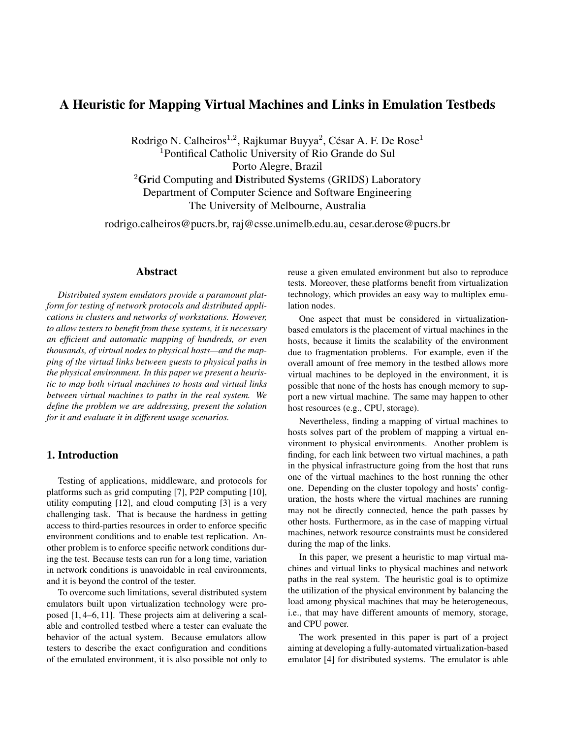# A Heuristic for Mapping Virtual Machines and Links in Emulation Testbeds

Rodrigo N. Calheiros<sup>1,2</sup>, Rajkumar Buyya<sup>2</sup>, César A. F. De Rose<sup>1</sup> <sup>1</sup>Pontifical Catholic University of Rio Grande do Sul Porto Alegre, Brazil <sup>2</sup>Grid Computing and Distributed Systems (GRIDS) Laboratory Department of Computer Science and Software Engineering The University of Melbourne, Australia

rodrigo.calheiros@pucrs.br, raj@csse.unimelb.edu.au, cesar.derose@pucrs.br

# Abstract

*Distributed system emulators provide a paramount platform for testing of network protocols and distributed applications in clusters and networks of workstations. However, to allow testers to benefit from these systems, it is necessary an efficient and automatic mapping of hundreds, or even thousands, of virtual nodes to physical hosts—and the mapping of the virtual links between guests to physical paths in the physical environment. In this paper we present a heuristic to map both virtual machines to hosts and virtual links between virtual machines to paths in the real system. We define the problem we are addressing, present the solution for it and evaluate it in different usage scenarios.*

# 1. Introduction

Testing of applications, middleware, and protocols for platforms such as grid computing [7], P2P computing [10], utility computing [12], and cloud computing [3] is a very challenging task. That is because the hardness in getting access to third-parties resources in order to enforce specific environment conditions and to enable test replication. Another problem is to enforce specific network conditions during the test. Because tests can run for a long time, variation in network conditions is unavoidable in real environments, and it is beyond the control of the tester.

To overcome such limitations, several distributed system emulators built upon virtualization technology were proposed [1, 4–6, 11]. These projects aim at delivering a scalable and controlled testbed where a tester can evaluate the behavior of the actual system. Because emulators allow testers to describe the exact configuration and conditions of the emulated environment, it is also possible not only to reuse a given emulated environment but also to reproduce tests. Moreover, these platforms benefit from virtualization technology, which provides an easy way to multiplex emulation nodes.

One aspect that must be considered in virtualizationbased emulators is the placement of virtual machines in the hosts, because it limits the scalability of the environment due to fragmentation problems. For example, even if the overall amount of free memory in the testbed allows more virtual machines to be deployed in the environment, it is possible that none of the hosts has enough memory to support a new virtual machine. The same may happen to other host resources (e.g., CPU, storage).

Nevertheless, finding a mapping of virtual machines to hosts solves part of the problem of mapping a virtual environment to physical environments. Another problem is finding, for each link between two virtual machines, a path in the physical infrastructure going from the host that runs one of the virtual machines to the host running the other one. Depending on the cluster topology and hosts' configuration, the hosts where the virtual machines are running may not be directly connected, hence the path passes by other hosts. Furthermore, as in the case of mapping virtual machines, network resource constraints must be considered during the map of the links.

In this paper, we present a heuristic to map virtual machines and virtual links to physical machines and network paths in the real system. The heuristic goal is to optimize the utilization of the physical environment by balancing the load among physical machines that may be heterogeneous, i.e., that may have different amounts of memory, storage, and CPU power.

The work presented in this paper is part of a project aiming at developing a fully-automated virtualization-based emulator [4] for distributed systems. The emulator is able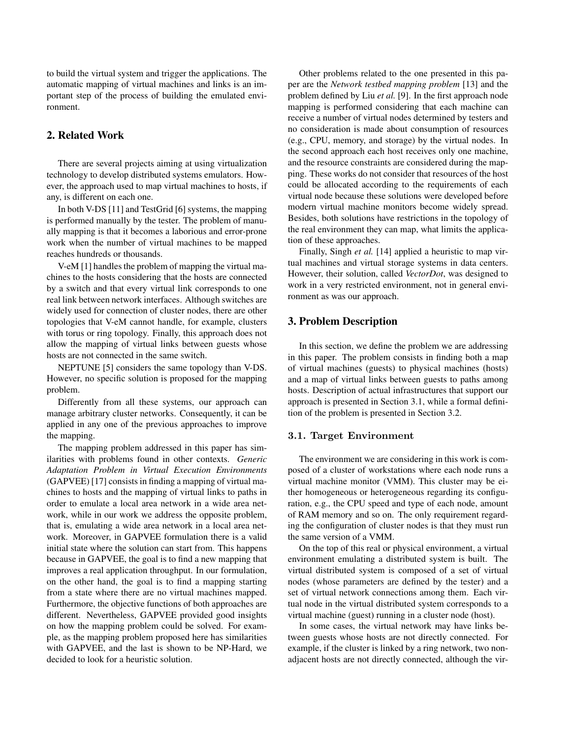to build the virtual system and trigger the applications. The automatic mapping of virtual machines and links is an important step of the process of building the emulated environment.

# 2. Related Work

There are several projects aiming at using virtualization technology to develop distributed systems emulators. However, the approach used to map virtual machines to hosts, if any, is different on each one.

In both V-DS [11] and TestGrid [6] systems, the mapping is performed manually by the tester. The problem of manually mapping is that it becomes a laborious and error-prone work when the number of virtual machines to be mapped reaches hundreds or thousands.

V-eM [1] handles the problem of mapping the virtual machines to the hosts considering that the hosts are connected by a switch and that every virtual link corresponds to one real link between network interfaces. Although switches are widely used for connection of cluster nodes, there are other topologies that V-eM cannot handle, for example, clusters with torus or ring topology. Finally, this approach does not allow the mapping of virtual links between guests whose hosts are not connected in the same switch.

NEPTUNE [5] considers the same topology than V-DS. However, no specific solution is proposed for the mapping problem.

Differently from all these systems, our approach can manage arbitrary cluster networks. Consequently, it can be applied in any one of the previous approaches to improve the mapping.

The mapping problem addressed in this paper has similarities with problems found in other contexts. *Generic Adaptation Problem in Virtual Execution Environments* (GAPVEE) [17] consists in finding a mapping of virtual machines to hosts and the mapping of virtual links to paths in order to emulate a local area network in a wide area network, while in our work we address the opposite problem, that is, emulating a wide area network in a local area network. Moreover, in GAPVEE formulation there is a valid initial state where the solution can start from. This happens because in GAPVEE, the goal is to find a new mapping that improves a real application throughput. In our formulation, on the other hand, the goal is to find a mapping starting from a state where there are no virtual machines mapped. Furthermore, the objective functions of both approaches are different. Nevertheless, GAPVEE provided good insights on how the mapping problem could be solved. For example, as the mapping problem proposed here has similarities with GAPVEE, and the last is shown to be NP-Hard, we decided to look for a heuristic solution.

Other problems related to the one presented in this paper are the *Network testbed mapping problem* [13] and the problem defined by Liu *et al.* [9]. In the first approach node mapping is performed considering that each machine can receive a number of virtual nodes determined by testers and no consideration is made about consumption of resources (e.g., CPU, memory, and storage) by the virtual nodes. In the second approach each host receives only one machine, and the resource constraints are considered during the mapping. These works do not consider that resources of the host could be allocated according to the requirements of each virtual node because these solutions were developed before modern virtual machine monitors become widely spread. Besides, both solutions have restrictions in the topology of the real environment they can map, what limits the application of these approaches.

Finally, Singh *et al.* [14] applied a heuristic to map virtual machines and virtual storage systems in data centers. However, their solution, called *VectorDot*, was designed to work in a very restricted environment, not in general environment as was our approach.

### 3. Problem Description

In this section, we define the problem we are addressing in this paper. The problem consists in finding both a map of virtual machines (guests) to physical machines (hosts) and a map of virtual links between guests to paths among hosts. Description of actual infrastructures that support our approach is presented in Section 3.1, while a formal definition of the problem is presented in Section 3.2.

### 3.1. Target Environment

The environment we are considering in this work is composed of a cluster of workstations where each node runs a virtual machine monitor (VMM). This cluster may be either homogeneous or heterogeneous regarding its configuration, e.g., the CPU speed and type of each node, amount of RAM memory and so on. The only requirement regarding the configuration of cluster nodes is that they must run the same version of a VMM.

On the top of this real or physical environment, a virtual environment emulating a distributed system is built. The virtual distributed system is composed of a set of virtual nodes (whose parameters are defined by the tester) and a set of virtual network connections among them. Each virtual node in the virtual distributed system corresponds to a virtual machine (guest) running in a cluster node (host).

In some cases, the virtual network may have links between guests whose hosts are not directly connected. For example, if the cluster is linked by a ring network, two nonadjacent hosts are not directly connected, although the vir-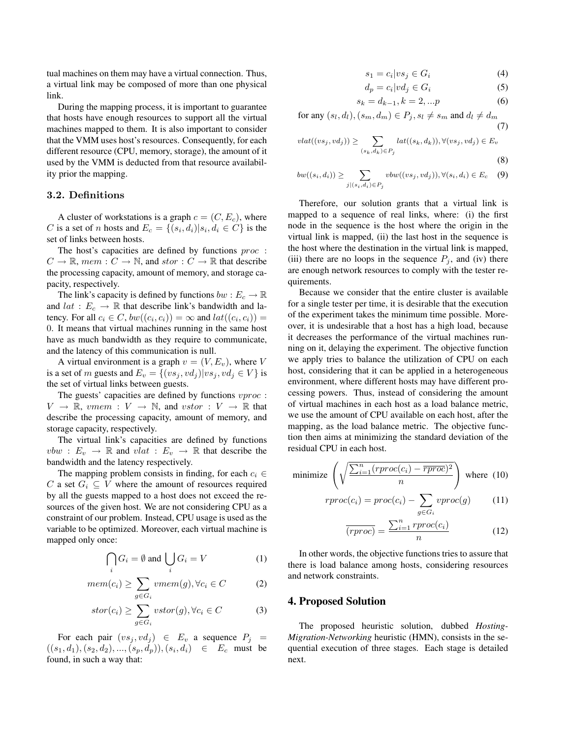tual machines on them may have a virtual connection. Thus, a virtual link may be composed of more than one physical link.

During the mapping process, it is important to guarantee that hosts have enough resources to support all the virtual machines mapped to them. It is also important to consider that the VMM uses host's resources. Consequently, for each different resource (CPU, memory, storage), the amount of it used by the VMM is deducted from that resource availability prior the mapping.

### 3.2. Definitions

A cluster of workstations is a graph  $c = (C, E_c)$ , where C is a set of n hosts and  $E_c = \{(s_i, d_i) | s_i, d_i \in C\}$  is the set of links between hosts.

The host's capacities are defined by functions  $proc$ :  $C \to \mathbb{R}$ ,  $mem : C \to \mathbb{N}$ , and  $stor : C \to \mathbb{R}$  that describe the processing capacity, amount of memory, and storage capacity, respectively.

The link's capacity is defined by functions  $bw : E_c \to \mathbb{R}$ and  $lat : E_c \rightarrow \mathbb{R}$  that describe link's bandwidth and latency. For all  $c_i \in C$ ,  $bw((c_i, c_i)) = \infty$  and  $lat((c_i, c_i)) =$ 0. It means that virtual machines running in the same host have as much bandwidth as they require to communicate, and the latency of this communication is null.

A virtual environment is a graph  $v = (V, E_v)$ , where V is a set of m guests and  $E_v = \{(vs_j, vd_j)|vs_j, vd_j \in V\}$  is the set of virtual links between guests.

The guests' capacities are defined by functions  $vproc$ :  $V \rightarrow \mathbb{R}$ , vmem:  $V \rightarrow \mathbb{N}$ , and vstor:  $V \rightarrow \mathbb{R}$  that describe the processing capacity, amount of memory, and storage capacity, respectively.

The virtual link's capacities are defined by functions  $vbw : E_v \to \mathbb{R}$  and  $vlat : E_v \to \mathbb{R}$  that describe the bandwidth and the latency respectively.

The mapping problem consists in finding, for each  $c_i \in$ C a set  $G_i \subseteq V$  where the amount of resources required by all the guests mapped to a host does not exceed the resources of the given host. We are not considering CPU as a constraint of our problem. Instead, CPU usage is used as the variable to be optimized. Moreover, each virtual machine is mapped only once:

$$
\bigcap_i G_i = \emptyset \text{ and } \bigcup_i G_i = V \tag{1}
$$

$$
mem(c_i) \ge \sum_{g \in G_i} vmem(g), \forall c_i \in C
$$
 (2)

$$
stor(c_i) \ge \sum_{g \in G_i} vstor(g), \forall c_i \in C \tag{3}
$$

For each pair  $(vs_j, vd_j) \in E_v$  a sequence  $P_j =$  $((s_1, d_1), (s_2, d_2), ..., (s_p, d_p)), (s_i, d_i) \in E_c$  must be found, in such a way that:

$$
s_1 = c_i \vert vs_j \in G_i \tag{4}
$$

$$
d_p = c_i \vert v d_j \in G_i \tag{5}
$$

$$
s_k = d_{k-1}, k = 2, \dots p \tag{6}
$$

for any  $(s_l, d_l), (s_m, d_m) \in P_j, s_l \neq s_m$  and  $d_l \neq d_m$ (7)

$$
vlat((vs_j, vd_j)) \ge \sum_{(s_k,d_k)\in P_j} lat((s_k,d_k)), \forall (vs_j, vd_j) \in E_v
$$
\n(8)

$$
bw((s_i, d_i)) \ge \sum_{j|(s_i, d_i) \in P_j} vbw((vs_j, vd_j)), \forall (s_i, d_i) \in E_c \quad (9)
$$

Therefore, our solution grants that a virtual link is mapped to a sequence of real links, where: (i) the first node in the sequence is the host where the origin in the virtual link is mapped, (ii) the last host in the sequence is the host where the destination in the virtual link is mapped, (iii) there are no loops in the sequence  $P_i$ , and (iv) there are enough network resources to comply with the tester requirements.

Because we consider that the entire cluster is available for a single tester per time, it is desirable that the execution of the experiment takes the minimum time possible. Moreover, it is undesirable that a host has a high load, because it decreases the performance of the virtual machines running on it, delaying the experiment. The objective function we apply tries to balance the utilization of CPU on each host, considering that it can be applied in a heterogeneous environment, where different hosts may have different processing powers. Thus, instead of considering the amount of virtual machines in each host as a load balance metric, we use the amount of CPU available on each host, after the mapping, as the load balance metric. The objective function then aims at minimizing the standard deviation of the residual CPU in each host.

minimize 
$$
\left(\sqrt{\frac{\sum_{i=1}^{n} (rproc(c_i) - \overline{rproc})^2}{n}}\right)
$$
 where (10)

$$
rproc(c_i) = proc(c_i) - \sum_{g \in G_i} vproc(g) \tag{11}
$$

$$
\overline{(rproc)} = \frac{\sum_{i=1}^{n} rproc(c_i)}{n} \tag{12}
$$

In other words, the objective functions tries to assure that there is load balance among hosts, considering resources and network constraints.

### 4. Proposed Solution

The proposed heuristic solution, dubbed *Hosting-Migration-Networking* heuristic (HMN), consists in the sequential execution of three stages. Each stage is detailed next.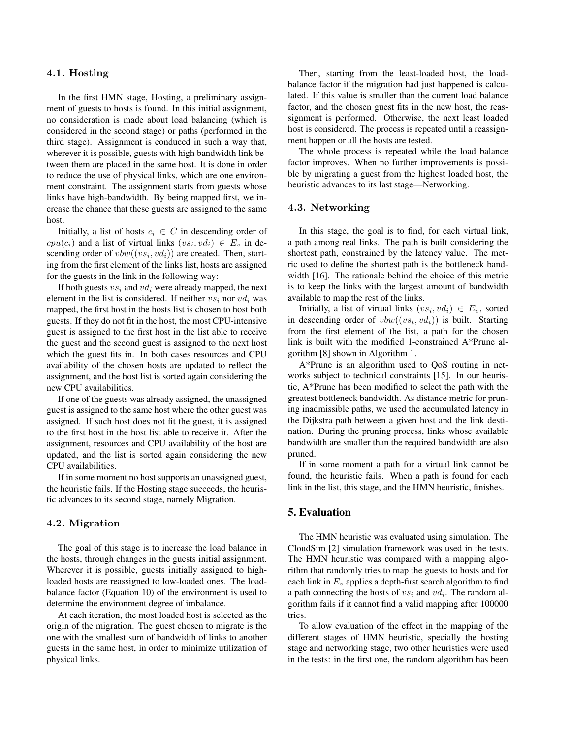### 4.1. Hosting

In the first HMN stage, Hosting, a preliminary assignment of guests to hosts is found. In this initial assignment, no consideration is made about load balancing (which is considered in the second stage) or paths (performed in the third stage). Assignment is conduced in such a way that, wherever it is possible, guests with high bandwidth link between them are placed in the same host. It is done in order to reduce the use of physical links, which are one environment constraint. The assignment starts from guests whose links have high-bandwidth. By being mapped first, we increase the chance that these guests are assigned to the same host.

Initially, a list of hosts  $c_i \in C$  in descending order of  $cpu(c_i)$  and a list of virtual links  $(vs_i, vd_i) \in E_v$  in descending order of  $vbw((vs_i, vd_i))$  are created. Then, starting from the first element of the links list, hosts are assigned for the guests in the link in the following way:

If both guests  $vs_i$  and  $vd_i$  were already mapped, the next element in the list is considered. If neither  $vs_i$  nor  $vd_i$  was mapped, the first host in the hosts list is chosen to host both guests. If they do not fit in the host, the most CPU-intensive guest is assigned to the first host in the list able to receive the guest and the second guest is assigned to the next host which the guest fits in. In both cases resources and CPU availability of the chosen hosts are updated to reflect the assignment, and the host list is sorted again considering the new CPU availabilities.

If one of the guests was already assigned, the unassigned guest is assigned to the same host where the other guest was assigned. If such host does not fit the guest, it is assigned to the first host in the host list able to receive it. After the assignment, resources and CPU availability of the host are updated, and the list is sorted again considering the new CPU availabilities.

If in some moment no host supports an unassigned guest, the heuristic fails. If the Hosting stage succeeds, the heuristic advances to its second stage, namely Migration.

#### 4.2. Migration

The goal of this stage is to increase the load balance in the hosts, through changes in the guests initial assignment. Wherever it is possible, guests initially assigned to highloaded hosts are reassigned to low-loaded ones. The loadbalance factor (Equation 10) of the environment is used to determine the environment degree of imbalance.

At each iteration, the most loaded host is selected as the origin of the migration. The guest chosen to migrate is the one with the smallest sum of bandwidth of links to another guests in the same host, in order to minimize utilization of physical links.

Then, starting from the least-loaded host, the loadbalance factor if the migration had just happened is calculated. If this value is smaller than the current load balance factor, and the chosen guest fits in the new host, the reassignment is performed. Otherwise, the next least loaded host is considered. The process is repeated until a reassignment happen or all the hosts are tested.

The whole process is repeated while the load balance factor improves. When no further improvements is possible by migrating a guest from the highest loaded host, the heuristic advances to its last stage—Networking.

#### 4.3. Networking

In this stage, the goal is to find, for each virtual link, a path among real links. The path is built considering the shortest path, constrained by the latency value. The metric used to define the shortest path is the bottleneck bandwidth [16]. The rationale behind the choice of this metric is to keep the links with the largest amount of bandwidth available to map the rest of the links.

Initially, a list of virtual links  $(vs_i, vd_i) \in E_v$ , sorted in descending order of  $vbw((vs_i, vd_i))$  is built. Starting from the first element of the list, a path for the chosen link is built with the modified 1-constrained A\*Prune algorithm [8] shown in Algorithm 1.

A\*Prune is an algorithm used to QoS routing in networks subject to technical constraints [15]. In our heuristic, A\*Prune has been modified to select the path with the greatest bottleneck bandwidth. As distance metric for pruning inadmissible paths, we used the accumulated latency in the Dijkstra path between a given host and the link destination. During the pruning process, links whose available bandwidth are smaller than the required bandwidth are also pruned.

If in some moment a path for a virtual link cannot be found, the heuristic fails. When a path is found for each link in the list, this stage, and the HMN heuristic, finishes.

# 5. Evaluation

The HMN heuristic was evaluated using simulation. The CloudSim [2] simulation framework was used in the tests. The HMN heuristic was compared with a mapping algorithm that randomly tries to map the guests to hosts and for each link in  $E_v$  applies a depth-first search algorithm to find a path connecting the hosts of  $vs_i$  and  $vd_i$ . The random algorithm fails if it cannot find a valid mapping after 100000 tries.

To allow evaluation of the effect in the mapping of the different stages of HMN heuristic, specially the hosting stage and networking stage, two other heuristics were used in the tests: in the first one, the random algorithm has been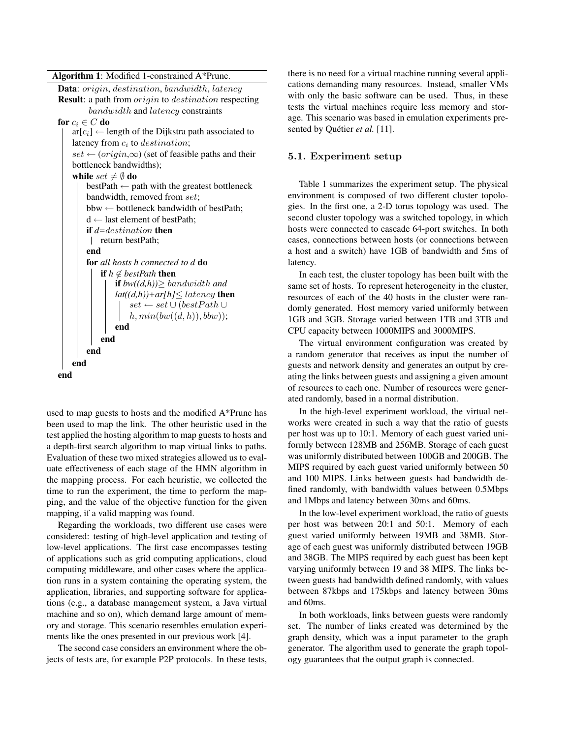

used to map guests to hosts and the modified A\*Prune has been used to map the link. The other heuristic used in the test applied the hosting algorithm to map guests to hosts and a depth-first search algorithm to map virtual links to paths. Evaluation of these two mixed strategies allowed us to evaluate effectiveness of each stage of the HMN algorithm in the mapping process. For each heuristic, we collected the time to run the experiment, the time to perform the mapping, and the value of the objective function for the given mapping, if a valid mapping was found.

Regarding the workloads, two different use cases were considered: testing of high-level application and testing of low-level applications. The first case encompasses testing of applications such as grid computing applications, cloud computing middleware, and other cases where the application runs in a system containing the operating system, the application, libraries, and supporting software for applications (e.g., a database management system, a Java virtual machine and so on), which demand large amount of memory and storage. This scenario resembles emulation experiments like the ones presented in our previous work [4].

The second case considers an environment where the objects of tests are, for example P2P protocols. In these tests, there is no need for a virtual machine running several applications demanding many resources. Instead, smaller VMs with only the basic software can be used. Thus, in these tests the virtual machines require less memory and storage. This scenario was based in emulation experiments presented by Quétier *et al.* [11].

#### 5.1. Experiment setup

Table 1 summarizes the experiment setup. The physical environment is composed of two different cluster topologies. In the first one, a 2-D torus topology was used. The second cluster topology was a switched topology, in which hosts were connected to cascade 64-port switches. In both cases, connections between hosts (or connections between a host and a switch) have 1GB of bandwidth and 5ms of latency.

In each test, the cluster topology has been built with the same set of hosts. To represent heterogeneity in the cluster, resources of each of the 40 hosts in the cluster were randomly generated. Host memory varied uniformly between 1GB and 3GB. Storage varied between 1TB and 3TB and CPU capacity between 1000MIPS and 3000MIPS.

The virtual environment configuration was created by a random generator that receives as input the number of guests and network density and generates an output by creating the links between guests and assigning a given amount of resources to each one. Number of resources were generated randomly, based in a normal distribution.

In the high-level experiment workload, the virtual networks were created in such a way that the ratio of guests per host was up to 10:1. Memory of each guest varied uniformly between 128MB and 256MB. Storage of each guest was uniformly distributed between 100GB and 200GB. The MIPS required by each guest varied uniformly between 50 and 100 MIPS. Links between guests had bandwidth defined randomly, with bandwidth values between 0.5Mbps and 1Mbps and latency between 30ms and 60ms.

In the low-level experiment workload, the ratio of guests per host was between 20:1 and 50:1. Memory of each guest varied uniformly between 19MB and 38MB. Storage of each guest was uniformly distributed between 19GB and 38GB. The MIPS required by each guest has been kept varying uniformly between 19 and 38 MIPS. The links between guests had bandwidth defined randomly, with values between 87kbps and 175kbps and latency between 30ms and 60ms.

In both workloads, links between guests were randomly set. The number of links created was determined by the graph density, which was a input parameter to the graph generator. The algorithm used to generate the graph topology guarantees that the output graph is connected.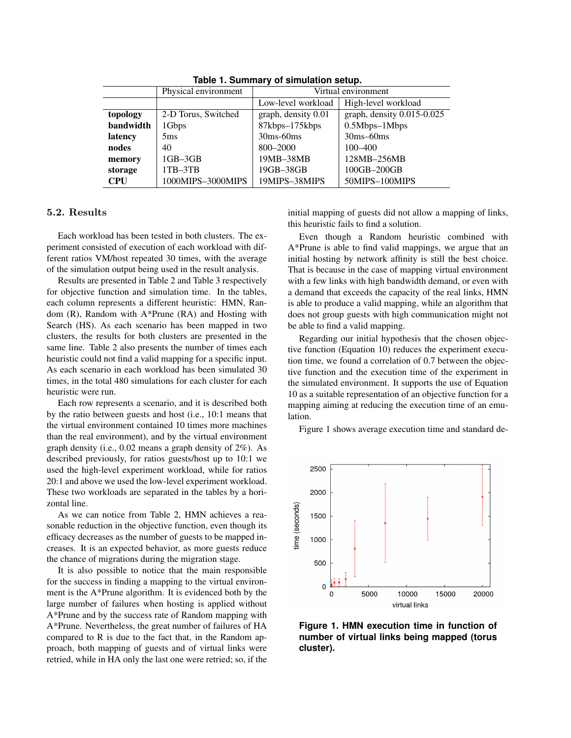|            | Physical environment | Virtual environment |                                |  |  |  |
|------------|----------------------|---------------------|--------------------------------|--|--|--|
|            |                      | Low-level workload  | High-level workload            |  |  |  |
| topology   | 2-D Torus, Switched  | graph, density 0.01 | graph, density $0.015 - 0.025$ |  |  |  |
| bandwidth  | 1Gbps                | 87kbps-175kbps      | $0.5Mbps-1Mbps$                |  |  |  |
| latency    | 5 <sub>ms</sub>      | $30ms-60ms$         | $30ms - 60ms$                  |  |  |  |
| nodes      | 40                   | 800-2000            | $100 - 400$                    |  |  |  |
| memory     | $1GB-3GB$            | 19MB-38MB           | 128MB-256MB                    |  |  |  |
| storage    | 1TB-3TB              | 19GB-38GB           | 100GB-200GB                    |  |  |  |
| <b>CPU</b> | 1000MIPS-3000MIPS    | 19MIPS-38MIPS       | 50MIPS-100MIPS                 |  |  |  |

**Table 1. Summary of simulation setup.**

### 5.2. Results

Each workload has been tested in both clusters. The experiment consisted of execution of each workload with different ratios VM/host repeated 30 times, with the average of the simulation output being used in the result analysis.

Results are presented in Table 2 and Table 3 respectively for objective function and simulation time. In the tables, each column represents a different heuristic: HMN, Random (R), Random with A\*Prune (RA) and Hosting with Search (HS). As each scenario has been mapped in two clusters, the results for both clusters are presented in the same line. Table 2 also presents the number of times each heuristic could not find a valid mapping for a specific input. As each scenario in each workload has been simulated 30 times, in the total 480 simulations for each cluster for each heuristic were run.

Each row represents a scenario, and it is described both by the ratio between guests and host (i.e., 10:1 means that the virtual environment contained 10 times more machines than the real environment), and by the virtual environment graph density (i.e., 0.02 means a graph density of 2%). As described previously, for ratios guests/host up to 10:1 we used the high-level experiment workload, while for ratios 20:1 and above we used the low-level experiment workload. These two workloads are separated in the tables by a horizontal line.

As we can notice from Table 2, HMN achieves a reasonable reduction in the objective function, even though its efficacy decreases as the number of guests to be mapped increases. It is an expected behavior, as more guests reduce the chance of migrations during the migration stage.

It is also possible to notice that the main responsible for the success in finding a mapping to the virtual environment is the A\*Prune algorithm. It is evidenced both by the large number of failures when hosting is applied without A\*Prune and by the success rate of Random mapping with A\*Prune. Nevertheless, the great number of failures of HA compared to R is due to the fact that, in the Random approach, both mapping of guests and of virtual links were retried, while in HA only the last one were retried; so, if the

initial mapping of guests did not allow a mapping of links, this heuristic fails to find a solution.

Even though a Random heuristic combined with A\*Prune is able to find valid mappings, we argue that an initial hosting by network affinity is still the best choice. That is because in the case of mapping virtual environment with a few links with high bandwidth demand, or even with a demand that exceeds the capacity of the real links, HMN is able to produce a valid mapping, while an algorithm that does not group guests with high communication might not be able to find a valid mapping.

Regarding our initial hypothesis that the chosen objective function (Equation 10) reduces the experiment execution time, we found a correlation of 0.7 between the objective function and the execution time of the experiment in the simulated environment. It supports the use of Equation 10 as a suitable representation of an objective function for a mapping aiming at reducing the execution time of an emulation.

Figure 1 shows average execution time and standard de-



**Figure 1. HMN execution time in function of number of virtual links being mapped (torus cluster).**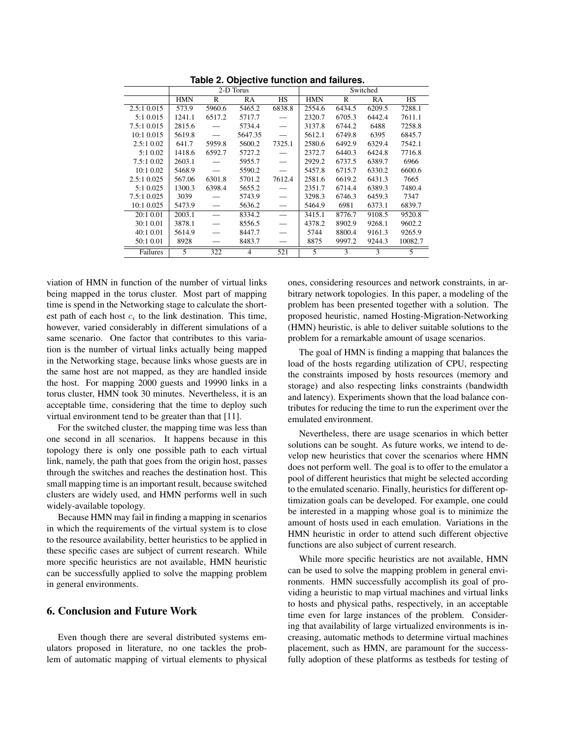|             | 2-D Torus  |        |         |        | Switched   |        |               |         |
|-------------|------------|--------|---------|--------|------------|--------|---------------|---------|
|             | <b>HMN</b> | R      | RA      | HS     | <b>HMN</b> | R      | RA            | HS      |
| 2.5:10.015  | 573.9      | 5960.6 | 5465.2  | 6838.8 | 2554.6     | 6434.5 | 6209.5        | 7288.1  |
| 5:1 0.015   | 1241.1     | 6517.2 | 5717.7  |        | 2320.7     | 6705.3 | 6442.4        | 7611.1  |
| 7.5:1 0.015 | 2815.6     |        | 5734.4  |        | 3137.8     | 6744.2 | 6488          | 7258.8  |
| 10:1 0.015  | 5619.8     |        | 5647.35 |        | 5612.1     | 6749.8 | 6395          | 6845.7  |
| 2.5:10.02   | 641.7      | 5959.8 | 5600.2  | 7325.1 | 2580.6     | 6492.9 | 6329.4        | 7542.1  |
| 5:1 0.02    | 1418.6     | 6592.7 | 5727.2  |        | 2372.7     | 6440.3 | 6424.8        | 7716.8  |
| 7.5:1 0.02  | 2603.1     |        | 5955.7  |        | 2929.2     | 6737.5 | 6389.7        | 6966    |
| 10:1 0.02   | 5468.9     |        | 5590.2  |        | 5457.8     | 6715.7 | 6330.2        | 6600.6  |
| 2.5:10.025  | 567.06     | 6301.8 | 5701.2  | 7612.4 | 2581.6     | 6619.2 | 6431.3        | 7665    |
| 5:1 0.025   | 1300.3     | 6398.4 | 5655.2  |        | 2351.7     | 6714.4 | 6389.3        | 7480.4  |
| 7.5:1 0.025 | 3039       |        | 5743.9  |        | 3298.3     | 6746.3 | 6459.3        | 7347    |
| 10:1 0.025  | 5473.9     |        | 5636.2  |        | 5464.9     | 6981   | 6373.1        | 6839.7  |
| 20:10.01    | 2003.1     |        | 8334.2  |        | 3415.1     | 8776.7 | 9108.5        | 9520.8  |
| 30:1 0.01   | 3878.1     |        | 8556.5  |        | 4378.2     | 8902.9 | 9268.1        | 9602.2  |
| 40:1 0.01   | 5614.9     |        | 8447.7  |        | 5744       | 8800.4 | 9161.3        | 9265.9  |
| 50:1 0.01   | 8928       |        | 8483.7  |        | 8875       | 9997.2 | 9244.3        | 10082.7 |
| Failures    | 5          | 322    | 4       | 521    | 5          | 3      | $\mathcal{E}$ | 5       |

**Table 2. Objective function and failures.**

viation of HMN in function of the number of virtual links being mapped in the torus cluster. Most part of mapping time is spend in the Networking stage to calculate the shortest path of each host  $c_i$  to the link destination. This time, however, varied considerably in different simulations of a same scenario. One factor that contributes to this variation is the number of virtual links actually being mapped in the Networking stage, because links whose guests are in the same host are not mapped, as they are handled inside the host. For mapping 2000 guests and 19990 links in a torus cluster, HMN took 30 minutes. Nevertheless, it is an acceptable time, considering that the time to deploy such virtual environment tend to be greater than that [11].

For the switched cluster, the mapping time was less than one second in all scenarios. It happens because in this topology there is only one possible path to each virtual link, namely, the path that goes from the origin host, passes through the switches and reaches the destination host. This small mapping time is an important result, because switched clusters are widely used, and HMN performs well in such widely-available topology.

Because HMN may fail in finding a mapping in scenarios in which the requirements of the virtual system is to close to the resource availability, better heuristics to be applied in these specific cases are subject of current research. While more specific heuristics are not available, HMN heuristic can be successfully applied to solve the mapping problem in general environments.

# 6. Conclusion and Future Work

Even though there are several distributed systems emulators proposed in literature, no one tackles the problem of automatic mapping of virtual elements to physical ones, considering resources and network constraints, in arbitrary network topologies. In this paper, a modeling of the problem has been presented together with a solution. The proposed heuristic, named Hosting-Migration-Networking (HMN) heuristic, is able to deliver suitable solutions to the problem for a remarkable amount of usage scenarios.

The goal of HMN is finding a mapping that balances the load of the hosts regarding utilization of CPU, respecting the constraints imposed by hosts resources (memory and storage) and also respecting links constraints (bandwidth and latency). Experiments shown that the load balance contributes for reducing the time to run the experiment over the emulated environment.

Nevertheless, there are usage scenarios in which better solutions can be sought. As future works, we intend to develop new heuristics that cover the scenarios where HMN does not perform well. The goal is to offer to the emulator a pool of different heuristics that might be selected according to the emulated scenario. Finally, heuristics for different optimization goals can be developed. For example, one could be interested in a mapping whose goal is to minimize the amount of hosts used in each emulation. Variations in the HMN heuristic in order to attend such different objective functions are also subject of current research.

While more specific heuristics are not available, HMN can be used to solve the mapping problem in general environments. HMN successfully accomplish its goal of providing a heuristic to map virtual machines and virtual links to hosts and physical paths, respectively, in an acceptable time even for large instances of the problem. Considering that availability of large virtualized environments is increasing, automatic methods to determine virtual machines placement, such as HMN, are paramount for the successfully adoption of these platforms as testbeds for testing of